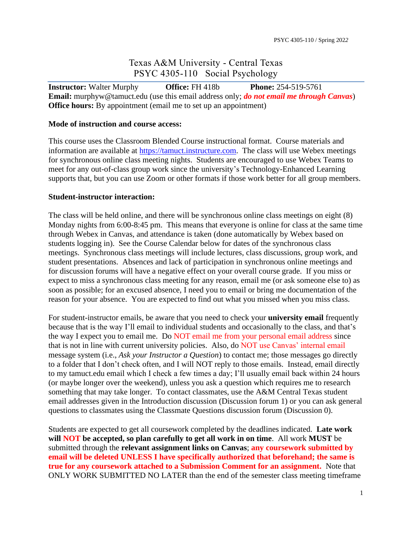# Texas A&M University - Central Texas PSYC 4305-110 Social Psychology

**Instructor:** Walter Murphy **Office:** FH 418b **Phone:** 254-519-5761 **Email:** murphyw@tamuct.edu (use this email address only; *do not email me through Canvas*) **Office hours:** By appointment (email me to set up an appointment)

#### **Mode of instruction and course access:**

This course uses the Classroom Blended Course instructional format. Course materials and information are available at [https://tamuct.instructure.com.](https://tamuct.instructure.com/) The class will use Webex meetings for synchronous online class meeting nights. Students are encouraged to use Webex Teams to meet for any out-of-class group work since the university's Technology-Enhanced Learning supports that, but you can use Zoom or other formats if those work better for all group members.

#### **Student-instructor interaction:**

The class will be held online, and there will be synchronous online class meetings on eight (8) Monday nights from 6:00-8:45 pm. This means that everyone is online for class at the same time through Webex in Canvas, and attendance is taken (done automatically by Webex based on students logging in). See the Course Calendar below for dates of the synchronous class meetings. Synchronous class meetings will include lectures, class discussions, group work, and student presentations. Absences and lack of participation in synchronous online meetings and for discussion forums will have a negative effect on your overall course grade. If you miss or expect to miss a synchronous class meeting for any reason, email me (or ask someone else to) as soon as possible; for an excused absence, I need you to email or bring me documentation of the reason for your absence. You are expected to find out what you missed when you miss class.

For student-instructor emails, be aware that you need to check your **university email** frequently because that is the way I'll email to individual students and occasionally to the class, and that's the way I expect you to email me. Do NOT email me from your personal email address since that is not in line with current university policies. Also, do NOT use Canvas' internal email message system (i.e., *Ask your Instructor a Question*) to contact me; those messages go directly to a folder that I don't check often, and I will NOT reply to those emails. Instead, email directly to my tamuct.edu email which I check a few times a day; I'll usually email back within 24 hours (or maybe longer over the weekend), unless you ask a question which requires me to research something that may take longer. To contact classmates, use the A&M Central Texas student email addresses given in the Introduction discussion (Discussion forum 1) or you can ask general questions to classmates using the Classmate Questions discussion forum (Discussion 0).

Students are expected to get all coursework completed by the deadlines indicated. **Late work will NOT be accepted, so plan carefully to get all work in on time**. All work **MUST** be submitted through the **relevant assignment links on Canvas**; **any coursework submitted by email will be deleted UNLESS I have specifically authorized that beforehand; the same is true for any coursework attached to a Submission Comment for an assignment.** Note that ONLY WORK SUBMITTED NO LATER than the end of the semester class meeting timeframe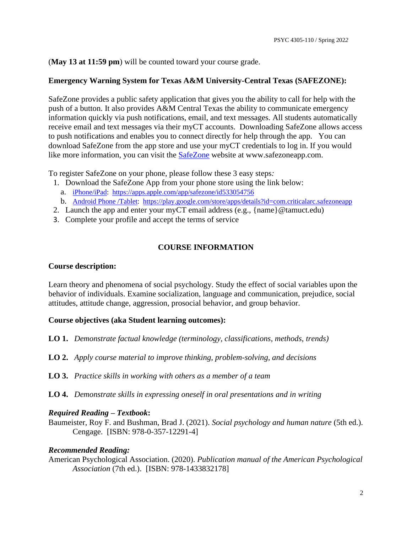(**May 13 at 11:59 pm**) will be counted toward your course grade.

# **Emergency Warning System for Texas A&M University-Central Texas (SAFEZONE):**

SafeZone provides a public safety application that gives you the ability to call for help with the push of a button. It also provides A&M Central Texas the ability to communicate emergency information quickly via push notifications, email, and text messages. All students automatically receive email and text messages via their myCT accounts. Downloading SafeZone allows access to push notifications and enables you to connect directly for help through the app. You can download SafeZone from the app store and use your myCT credentials to log in. If you would like more information, you can visit the **SafeZone** website at www.safezoneapp.com.

To register SafeZone on your phone, please follow these 3 easy steps*:*

- 1. Download the SafeZone App from your phone store using the link below:
	- a. [iPhone/iPad:](https://tamuct-my.sharepoint.com/personal/murphyw_tamuct_edu/Documents/Desktop/iPhone/iPad) <https://apps.apple.com/app/safezone/id533054756>
	- b. [Android Phone /Tablet:](https://play.google.com/store/apps/details?id=com.criticalarc.safezoneapp) <https://play.google.com/store/apps/details?id=com.criticalarc.safezoneapp>
- 2. Launch the app and enter your myCT email address (e.g., {name}@tamuct.edu)
- 3. Complete your profile and accept the terms of service

# **COURSE INFORMATION**

## **Course description:**

Learn theory and phenomena of social psychology. Study the effect of social variables upon the behavior of individuals. Examine socialization, language and communication, prejudice, social attitudes, attitude change, aggression, prosocial behavior, and group behavior.

# **Course objectives (aka Student learning outcomes):**

- **LO 1.** *Demonstrate factual knowledge (terminology, classifications, methods, trends)*
- **LO 2.** *Apply course material to improve thinking, problem-solving, and decisions*
- **LO 3.** *Practice skills in working with others as a member of a team*
- **LO 4.** *Demonstrate skills in expressing oneself in oral presentations and in writing*

### *Required Reading – Textbook***:**

Baumeister, Roy F. and Bushman, Brad J. (2021). *Social psychology and human nature* (5th ed.). Cengage. [ISBN: 978-0-357-12291-4]

### *Recommended Reading:*

American Psychological Association. (2020). *Publication manual of the American Psychological Association* (7th ed.). [ISBN: 978-1433832178]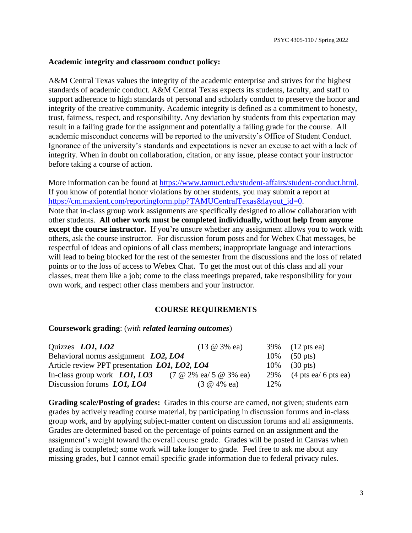#### **Academic integrity and classroom conduct policy:**

A&M Central Texas values the integrity of the academic enterprise and strives for the highest standards of academic conduct. A&M Central Texas expects its students, faculty, and staff to support adherence to high standards of personal and scholarly conduct to preserve the honor and integrity of the creative community. Academic integrity is defined as a commitment to honesty, trust, fairness, respect, and responsibility. Any deviation by students from this expectation may result in a failing grade for the assignment and potentially a failing grade for the course. All academic misconduct concerns will be reported to the university's Office of Student Conduct. Ignorance of the university's standards and expectations is never an excuse to act with a lack of integrity. When in doubt on collaboration, citation, or any issue, please contact your instructor before taking a course of action.

More information can be found at [https://www.tamuct.edu/student-affairs/student-conduct.html.](https://www.tamuct.edu/student-affairs/student-conduct.html) If you know of potential honor violations by other students, you may submit a report at [https://cm.maxient.com/reportingform.php?TAMUCentralTexas&layout\\_id=0.](https://cm.maxient.com/reportingform.php?TAMUCentralTexas&layout_id=0) Note that in-class group work assignments are specifically designed to allow collaboration with other students. **All other work must be completed individually, without help from anyone except the course instructor.** If you're unsure whether any assignment allows you to work with others, ask the course instructor. For discussion forum posts and for Webex Chat messages, be respectful of ideas and opinions of all class members; inappropriate language and interactions will lead to being blocked for the rest of the semester from the discussions and the loss of related points or to the loss of access to Webex Chat. To get the most out of this class and all your classes, treat them like a job; come to the class meetings prepared, take responsibility for your own work, and respect other class members and your instructor.

### **COURSE REQUIREMENTS**

#### **Coursework grading**: (*with related learning outcomes*)

| Quizzes <i>LO1</i> , <i>LO2</i>               | $(13 \t@ 3\t% \t@ a)$                |     | 39% (12 pts ea)                             |
|-----------------------------------------------|--------------------------------------|-----|---------------------------------------------|
| Behavioral norms assignment LO2, LO4          |                                      |     | $10\%$ (50 pts)                             |
| Article review PPT presentation LO1, LO2, LO4 |                                      |     | $10\%$ (30 pts)                             |
| In-class group work $LO1, LO3$                | $(7 \t@ 2\% \t@ a/ 5 \t@ 3\% \t@ a)$ |     | 29% $(4 \text{ pts } ea/6 \text{ pts } ea)$ |
| Discussion forums LO1, LO4                    | $(3 \t@ 4\% \t@ a)$                  | 12% |                                             |

**Grading scale/Posting of grades:** Grades in this course are earned, not given; students earn grades by actively reading course material, by participating in discussion forums and in-class group work, and by applying subject-matter content on discussion forums and all assignments. Grades are determined based on the percentage of points earned on an assignment and the assignment's weight toward the overall course grade. Grades will be posted in Canvas when grading is completed; some work will take longer to grade. Feel free to ask me about any missing grades, but I cannot email specific grade information due to federal privacy rules.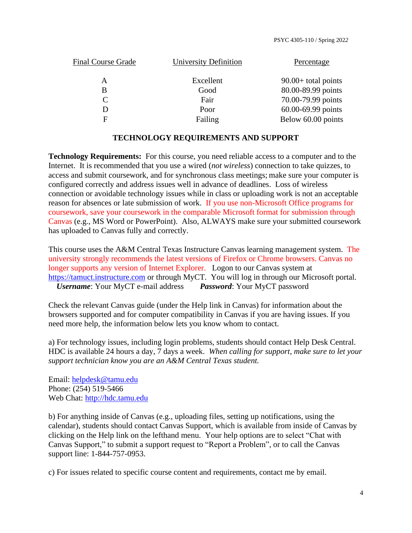| Final Course Grade | University Definition | Percentage            |
|--------------------|-----------------------|-----------------------|
| A                  | Excellent             | $90.00+$ total points |
| B                  | Good                  | 80.00-89.99 points    |
| $\mathcal{C}$      | Fair                  | 70.00-79.99 points    |
| D                  | Poor                  | 60.00-69.99 points    |
| F                  | Failing               | Below 60.00 points    |
|                    |                       |                       |

#### **TECHNOLOGY REQUIREMENTS AND SUPPORT**

**Technology Requirements:** For this course, you need reliable access to a computer and to the Internet. It is recommended that you use a wired (*not wireless*) connection to take quizzes, to access and submit coursework, and for synchronous class meetings; make sure your computer is configured correctly and address issues well in advance of deadlines. Loss of wireless connection or avoidable technology issues while in class or uploading work is not an acceptable reason for absences or late submission of work. If you use non-Microsoft Office programs for coursework, save your coursework in the comparable Microsoft format for submission through Canvas (e.g., MS Word or PowerPoint). Also, ALWAYS make sure your submitted coursework has uploaded to Canvas fully and correctly.

This course uses the A&M Central Texas Instructure Canvas learning management system. The university strongly recommends the latest versions of Firefox or Chrome browsers. Canvas no longer supports any version of Internet Explorer. Logon to our Canvas system at [https://tamuct.instructure.com](https://tamuct.instructure.com/) or through MyCT. You will log in through our Microsoft portal. *Username*: Your MyCT e-mail address *Password*: Your MyCT password

Check the relevant Canvas guide (under the Help link in Canvas) for information about the browsers supported and for computer compatibility in Canvas if you are having issues. If you need more help, the information below lets you know whom to contact.

a) For technology issues, including login problems, students should contact Help Desk Central. HDC is available 24 hours a day, 7 days a week. *When calling for support, make sure to let your support technician know you are an A&M Central Texas student.*

Email: [helpdesk@tamu.edu](mailto:helpdesk@tamu.edu)  Phone: (254) 519-5466 Web Chat: [http://hdc.tamu.edu](http://hdc.tamu.edu/)

b) For anything inside of Canvas (e.g., uploading files, setting up notifications, using the calendar), students should contact Canvas Support, which is available from inside of Canvas by clicking on the Help link on the lefthand menu. Your help options are to select "Chat with Canvas Support," to submit a support request to "Report a Problem", or to call the Canvas support line: 1-844-757-0953.

c) For issues related to specific course content and requirements, contact me by email.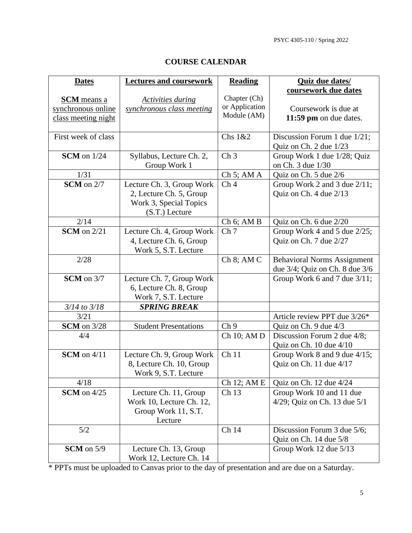PSYC 4305-110 / Spring 202*2*

| <b>Dates</b>        | <b>Lectures and coursework</b> | <b>Reading</b>                   | <b>Quiz due dates/</b>              |
|---------------------|--------------------------------|----------------------------------|-------------------------------------|
|                     |                                |                                  | coursework due dates                |
| <b>SCM</b> means a  | <b>Activities during</b>       | Chapter (Ch)                     |                                     |
| synchronous online  | synchronous class meeting      | or Application                   | Coursework is due at                |
| class meeting night |                                | Module (AM)                      | 11:59 pm on due dates.              |
|                     |                                |                                  |                                     |
| First week of class |                                | Chs 1&2                          | Discussion Forum 1 due 1/21;        |
|                     |                                |                                  | Quiz on Ch. 2 due 1/23              |
| $SCM$ on $1/24$     | Syllabus, Lecture Ch. 2,       | Ch <sub>3</sub>                  | Group Work 1 due 1/28; Quiz         |
|                     | Group Work 1                   |                                  | on Ch. 3 due 1/30                   |
| 1/31                |                                | $Ch 5$ ; AM A                    | Quiz on Ch. 5 due 2/6               |
| $SCM$ on $2/7$      | Lecture Ch. 3, Group Work      | Ch <sub>4</sub>                  | Group Work 2 and 3 due 2/11;        |
|                     | 2, Lecture Ch. 5, Group        |                                  | Quiz on Ch. 4 due 2/13              |
|                     | Work 3, Special Topics         |                                  |                                     |
|                     | $(S.T.)$ Lecture               |                                  |                                     |
| 2/14                |                                |                                  | Quiz on Ch. 6 due 2/20              |
| $SCM$ on $2/21$     |                                | $Ch 6$ ; AM B<br>Ch <sub>7</sub> |                                     |
|                     | Lecture Ch. 4, Group Work      |                                  | Group Work 4 and 5 due 2/25;        |
|                     | 4, Lecture Ch. 6, Group        |                                  | Quiz on Ch. 7 due 2/27              |
|                     | Work 5, S.T. Lecture           |                                  |                                     |
| 2/28                |                                | $Ch 8$ ; AM $C$                  | <b>Behavioral Norms Assignment</b>  |
|                     |                                |                                  | due $3/4$ ; Quiz on Ch. 8 due $3/6$ |
| $SCM$ on $3/7$      | Lecture Ch. 7, Group Work      |                                  | Group Work 6 and 7 due 3/11;        |
|                     | 6, Lecture Ch. 8, Group        |                                  |                                     |
|                     | Work 7, S.T. Lecture           |                                  |                                     |
| $3/14$ to $3/18$    | <b>SPRING BREAK</b>            |                                  |                                     |
| 3/21                |                                |                                  | Article review PPT due 3/26*        |
| <b>SCM</b> on 3/28  | <b>Student Presentations</b>   | Ch <sub>9</sub>                  | Quiz on Ch. 9 due 4/3               |
| 4/4                 |                                | Ch 10; AM D                      | Discussion Forum 2 due 4/8;         |
|                     |                                |                                  | Quiz on Ch. 10 due 4/10             |
| $SCM$ on $4/11$     | Lecture Ch. 9, Group Work      | Ch <sub>11</sub>                 | Group Work 8 and 9 due 4/15;        |
|                     | 8, Lecture Ch. 10, Group       |                                  | Quiz on Ch. 11 due 4/17             |
|                     | Work 9, S.T. Lecture           |                                  |                                     |
| 4/18                |                                | Ch 12; AM E                      | Quiz on Ch. 12 due 4/24             |
| $SCM$ on $4/25$     | Lecture Ch. 11, Group          | Ch <sub>13</sub>                 | Group Work 10 and 11 due            |
|                     | Work 10, Lecture Ch. 12,       |                                  | 4/29; Quiz on Ch. 13 due $5/1$      |
|                     | Group Work 11, S.T.            |                                  |                                     |
|                     | Lecture                        |                                  |                                     |
| 5/2                 |                                | Ch 14                            | Discussion Forum 3 due 5/6;         |
|                     |                                |                                  | Quiz on Ch. 14 due 5/8              |
| $SCM$ on $5/9$      | Lecture Ch. 13, Group          |                                  | Group Work 12 due 5/13              |
|                     | Work 12, Lecture Ch. 14        |                                  |                                     |

# **COURSE CALENDAR**

\* PPTs must be uploaded to Canvas prior to the day of presentation and are due on a Saturday.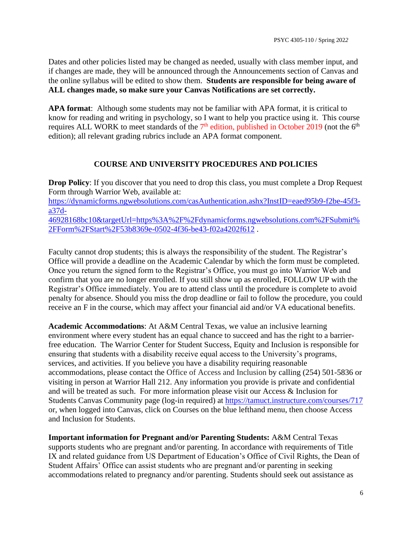Dates and other policies listed may be changed as needed, usually with class member input, and if changes are made, they will be announced through the Announcements section of Canvas and the online syllabus will be edited to show them. **Students are responsible for being aware of ALL changes made, so make sure your Canvas Notifications are set correctly.**

**APA format**: Although some students may not be familiar with APA format, it is critical to know for reading and writing in psychology, so I want to help you practice using it. This course requires ALL WORK to meet standards of the 7<sup>th</sup> edition, published in October 2019 (not the 6<sup>th</sup> edition); all relevant grading rubrics include an APA format component.

# **COURSE AND UNIVERSITY PROCEDURES AND POLICIES**

**Drop Policy:** If you discover that you need to drop this class, you must complete a Drop Request Form through Warrior Web, available at: [https://dynamicforms.ngwebsolutions.com/casAuthentication.ashx?InstID=eaed95b9-f2be-45f3](https://dynamicforms.ngwebsolutions.com/casAuthentication.ashx?InstID=eaed95b9-f2be-45f3-a37d-46928168bc10&targetUrl=https%3A%2F%2Fdynamicforms.ngwebsolutions.com%2FSubmit%2FForm%2FStart%2F53b8369e-0502-4f36-be43-f02a4202f612) [a37d-](https://dynamicforms.ngwebsolutions.com/casAuthentication.ashx?InstID=eaed95b9-f2be-45f3-a37d-46928168bc10&targetUrl=https%3A%2F%2Fdynamicforms.ngwebsolutions.com%2FSubmit%2FForm%2FStart%2F53b8369e-0502-4f36-be43-f02a4202f612)[46928168bc10&targetUrl=https%3A%2F%2Fdynamicforms.ngwebsolutions.com%2FSubmit%](https://dynamicforms.ngwebsolutions.com/casAuthentication.ashx?InstID=eaed95b9-f2be-45f3-a37d-46928168bc10&targetUrl=https%3A%2F%2Fdynamicforms.ngwebsolutions.com%2FSubmit%2FForm%2FStart%2F53b8369e-0502-4f36-be43-f02a4202f612) [2FForm%2FStart%2F53b8369e-0502-4f36-be43-f02a4202f612](https://dynamicforms.ngwebsolutions.com/casAuthentication.ashx?InstID=eaed95b9-f2be-45f3-a37d-46928168bc10&targetUrl=https%3A%2F%2Fdynamicforms.ngwebsolutions.com%2FSubmit%2FForm%2FStart%2F53b8369e-0502-4f36-be43-f02a4202f612) .

Faculty cannot drop students; this is always the responsibility of the student. The Registrar's Office will provide a deadline on the Academic Calendar by which the form must be completed. Once you return the signed form to the Registrar's Office, you must go into Warrior Web and confirm that you are no longer enrolled. If you still show up as enrolled, FOLLOW UP with the Registrar's Office immediately. You are to attend class until the procedure is complete to avoid penalty for absence. Should you miss the drop deadline or fail to follow the procedure, you could receive an F in the course, which may affect your financial aid and/or VA educational benefits.

**Academic Accommodations**: At A&M Central Texas, we value an inclusive learning environment where every student has an equal chance to succeed and has the right to a barrierfree education. The Warrior Center for Student Success, Equity and Inclusion is responsible for ensuring that students with a disability receive equal access to the University's programs, services, and activities. If you believe you have a disability requiring reasonable accommodations, please contact the Office of Access and Inclusion by calling (254) 501-5836 or visiting in person at Warrior Hall 212. Any information you provide is private and confidential and will be treated as such. For more information please visit our Access & Inclusion for Students Canvas Community page (log-in required) at<https://tamuct.instructure.com/courses/717> or, when logged into Canvas, click on Courses on the blue lefthand menu, then choose Access and Inclusion for Students.

**Important information for Pregnant and/or Parenting Students:** A&M Central Texas supports students who are pregnant and/or parenting. In accordance with requirements of Title IX and related guidance from US Department of Education's Office of Civil Rights, the Dean of Student Affairs' Office can assist students who are pregnant and/or parenting in seeking accommodations related to pregnancy and/or parenting. Students should seek out assistance as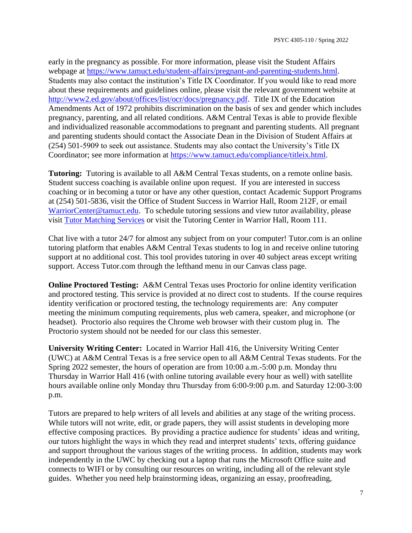early in the pregnancy as possible. For more information, please visit the Student Affairs webpage at [https://www.tamuct.edu/student-affairs/pregnant-and-parenting-students.html.](https://www.tamuct.edu/student-affairs/pregnant-and-parenting-students.html) Students may also contact the institution's Title IX Coordinator. If you would like to read more about these requirements and guidelines online, please visit the relevant government website at [http://www2.ed.gov/about/offices/list/ocr/docs/pregnancy.pdf.](http://www2.ed.gov/about/offices/list/ocr/docs/pregnancy.pdf) Title IX of the Education Amendments Act of 1972 prohibits discrimination on the basis of sex and gender which includes pregnancy, parenting, and all related conditions. A&M Central Texas is able to provide flexible and individualized reasonable accommodations to pregnant and parenting students. All pregnant and parenting students should contact the Associate Dean in the Division of Student Affairs at (254) 501-5909 to seek out assistance. Students may also contact the University's Title IX Coordinator; see more information at [https://www.tamuct.edu/compliance/titleix.html.](https://www.tamuct.edu/compliance/titleix.html)

**Tutoring:** Tutoring is available to all A&M Central Texas students, on a remote online basis. Student success coaching is available online upon request. If you are interested in success coaching or in becoming a tutor or have any other question, contact Academic Support Programs at (254) 501-5836, visit the Office of Student Success in Warrior Hall, Room 212F, or email [WarriorCenter@tamuct.edu.](mailto:WarriorCenter@tamuct.edu) To schedule tutoring sessions and view tutor availability, please visit [Tutor Matching Services](https://tutormatchingservice.com/TAMUCT) or visit the Tutoring Center in Warrior Hall, Room 111.

Chat live with a tutor 24/7 for almost any subject from on your computer! Tutor.com is an online tutoring platform that enables A&M Central Texas students to log in and receive online tutoring support at no additional cost. This tool provides tutoring in over 40 subject areas except writing support. Access Tutor.com through the lefthand menu in our Canvas class page.

**Online Proctored Testing:** A&M Central Texas uses Proctorio for online identity verification and proctored testing. This service is provided at no direct cost to students. If the course requires identity verification or proctored testing, the technology requirements are: Any computer meeting the minimum computing requirements, plus web camera, speaker, and microphone (or headset). Proctorio also requires the Chrome web browser with their custom plug in. The Proctorio system should not be needed for our class this semester.

**University Writing Center:** Located in Warrior Hall 416, the University Writing Center (UWC) at A&M Central Texas is a free service open to all A&M Central Texas students. For the Spring 2022 semester, the hours of operation are from 10:00 a.m.-5:00 p.m. Monday thru Thursday in Warrior Hall 416 (with online tutoring available every hour as well) with satellite hours available online only Monday thru Thursday from 6:00-9:00 p.m. and Saturday 12:00-3:00 p.m.

Tutors are prepared to help writers of all levels and abilities at any stage of the writing process. While tutors will not write, edit, or grade papers, they will assist students in developing more effective composing practices. By providing a practice audience for students' ideas and writing, our tutors highlight the ways in which they read and interpret students' texts, offering guidance and support throughout the various stages of the writing process. In addition, students may work independently in the UWC by checking out a laptop that runs the Microsoft Office suite and connects to WIFI or by consulting our resources on writing, including all of the relevant style guides. Whether you need help brainstorming ideas, organizing an essay, proofreading,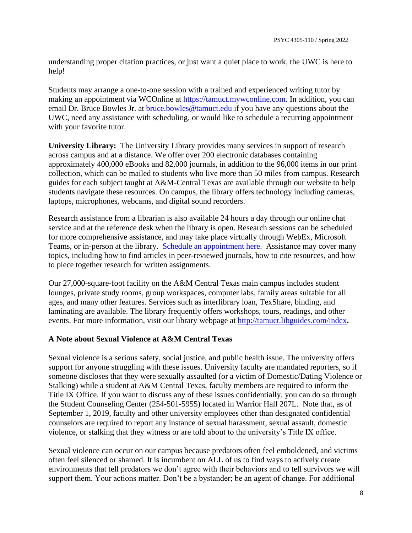understanding proper citation practices, or just want a quiet place to work, the UWC is here to help!

Students may arrange a one-to-one session with a trained and experienced writing tutor by making an appointment via WCOnline at [https://tamuct.mywconline.com.](https://tamuct.mywconline.com/) In addition, you can email Dr. Bruce Bowles Jr. at [bruce.bowles@tamuct.edu](mailto:bruce.bowles@tamuct.edu) if you have any questions about the UWC, need any assistance with scheduling, or would like to schedule a recurring appointment with your favorite tutor.

**University Library:** The University Library provides many services in support of research across campus and at a distance. We offer over 200 electronic databases containing approximately 400,000 eBooks and 82,000 journals, in addition to the 96,000 items in our print collection, which can be mailed to students who live more than 50 miles from campus. Research guides for each subject taught at A&M-Central Texas are available through our website to help students navigate these resources. On campus, the library offers technology including cameras, laptops, microphones, webcams, and digital sound recorders.

Research assistance from a librarian is also available 24 hours a day through our online chat service and at the reference desk when the library is open. Research sessions can be scheduled for more comprehensive assistance, and may take place virtually through WebEx, Microsoft Teams, or in-person at the library. [Schedule an appointment here.](https://nam04.safelinks.protection.outlook.com/?url=https%3A%2F%2Ftamuct.libcal.com%2Fappointments%2F%3Fg%3D6956&data=04%7C01%7Clisa.bunkowski%40tamuct.edu%7Cde2c07d9f5804f09518008d9ab7ba6ff%7C9eed4e3000f744849ff193ad8005acec%7C0%7C0%7C637729369835011558%7CUnknown%7CTWFpbGZsb3d8eyJWIjoiMC4wLjAwMDAiLCJQIjoiV2luMzIiLCJBTiI6Ik1haWwiLCJXVCI6Mn0%3D%7C3000&sdata=KhtjgRSAw9aq%2FoBsB6wyu8b7PSuGN5EGPypzr3Ty2No%3D&reserved=0) Assistance may cover many topics, including how to find articles in peer-reviewed journals, how to cite resources, and how to piece together research for written assignments.

Our 27,000-square-foot facility on the A&M Central Texas main campus includes student lounges, private study rooms, group workspaces, computer labs, family areas suitable for all ages, and many other features. Services such as interlibrary loan, TexShare, binding, and laminating are available. The library frequently offers workshops, tours, readings, and other events. For more information, visit our library webpage at <http://tamuct.libguides.com/index>**.**

### **A Note about Sexual Violence at A&M Central Texas**

Sexual violence is a serious safety, social justice, and public health issue. The university offers support for anyone struggling with these issues. University faculty are mandated reporters, so if someone discloses that they were sexually assaulted (or a victim of Domestic/Dating Violence or Stalking) while a student at A&M Central Texas, faculty members are required to inform the Title IX Office. If you want to discuss any of these issues confidentially, you can do so through the Student Counseling Center (254-501-5955) located in Warrior Hall 207L. Note that, as of September 1, 2019, faculty and other university employees other than designated confidential counselors are required to report any instance of sexual harassment, sexual assault, domestic violence, or stalking that they witness or are told about to the university's Title IX office.

Sexual violence can occur on our campus because predators often feel emboldened, and victims often feel silenced or shamed. It is incumbent on ALL of us to find ways to actively create environments that tell predators we don't agree with their behaviors and to tell survivors we will support them. Your actions matter. Don't be a bystander; be an agent of change. For additional